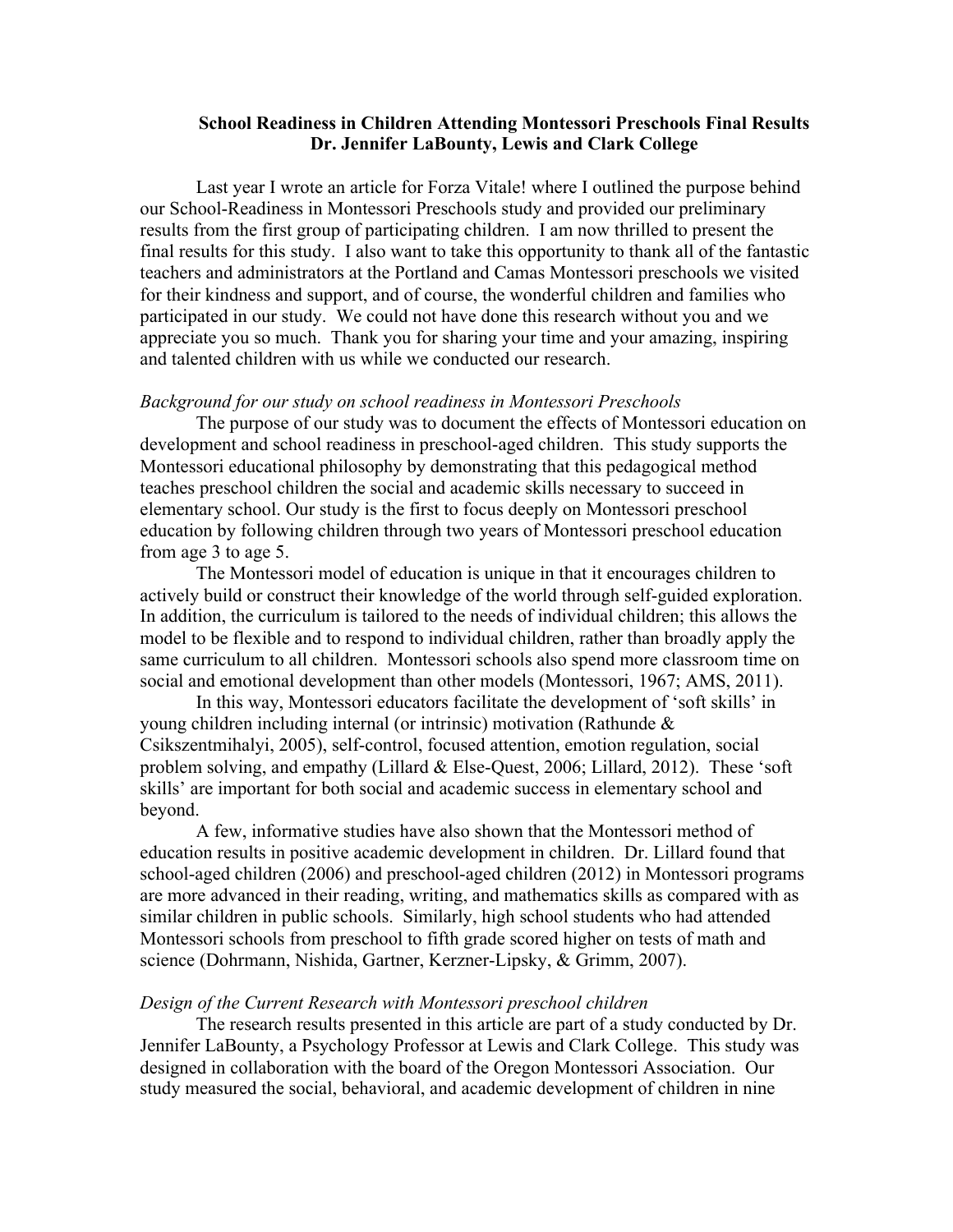# **School Readiness in Children Attending Montessori Preschools Final Results Dr. Jennifer LaBounty, Lewis and Clark College**

Last year I wrote an article for Forza Vitale! where I outlined the purpose behind our School-Readiness in Montessori Preschools study and provided our preliminary results from the first group of participating children. I am now thrilled to present the final results for this study. I also want to take this opportunity to thank all of the fantastic teachers and administrators at the Portland and Camas Montessori preschools we visited for their kindness and support, and of course, the wonderful children and families who participated in our study. We could not have done this research without you and we appreciate you so much. Thank you for sharing your time and your amazing, inspiring and talented children with us while we conducted our research.

## *Background for our study on school readiness in Montessori Preschools*

The purpose of our study was to document the effects of Montessori education on development and school readiness in preschool-aged children. This study supports the Montessori educational philosophy by demonstrating that this pedagogical method teaches preschool children the social and academic skills necessary to succeed in elementary school. Our study is the first to focus deeply on Montessori preschool education by following children through two years of Montessori preschool education from age 3 to age 5.

The Montessori model of education is unique in that it encourages children to actively build or construct their knowledge of the world through self-guided exploration. In addition, the curriculum is tailored to the needs of individual children; this allows the model to be flexible and to respond to individual children, rather than broadly apply the same curriculum to all children. Montessori schools also spend more classroom time on social and emotional development than other models (Montessori, 1967; AMS, 2011).

In this way, Montessori educators facilitate the development of 'soft skills' in young children including internal (or intrinsic) motivation (Rathunde & Csikszentmihalyi, 2005), self-control, focused attention, emotion regulation, social problem solving, and empathy (Lillard & Else-Quest, 2006; Lillard, 2012). These 'soft skills' are important for both social and academic success in elementary school and beyond.

A few, informative studies have also shown that the Montessori method of education results in positive academic development in children. Dr. Lillard found that school-aged children (2006) and preschool-aged children (2012) in Montessori programs are more advanced in their reading, writing, and mathematics skills as compared with as similar children in public schools. Similarly, high school students who had attended Montessori schools from preschool to fifth grade scored higher on tests of math and science (Dohrmann, Nishida, Gartner, Kerzner-Lipsky, & Grimm, 2007).

## *Design of the Current Research with Montessori preschool children*

The research results presented in this article are part of a study conducted by Dr. Jennifer LaBounty, a Psychology Professor at Lewis and Clark College. This study was designed in collaboration with the board of the Oregon Montessori Association. Our study measured the social, behavioral, and academic development of children in nine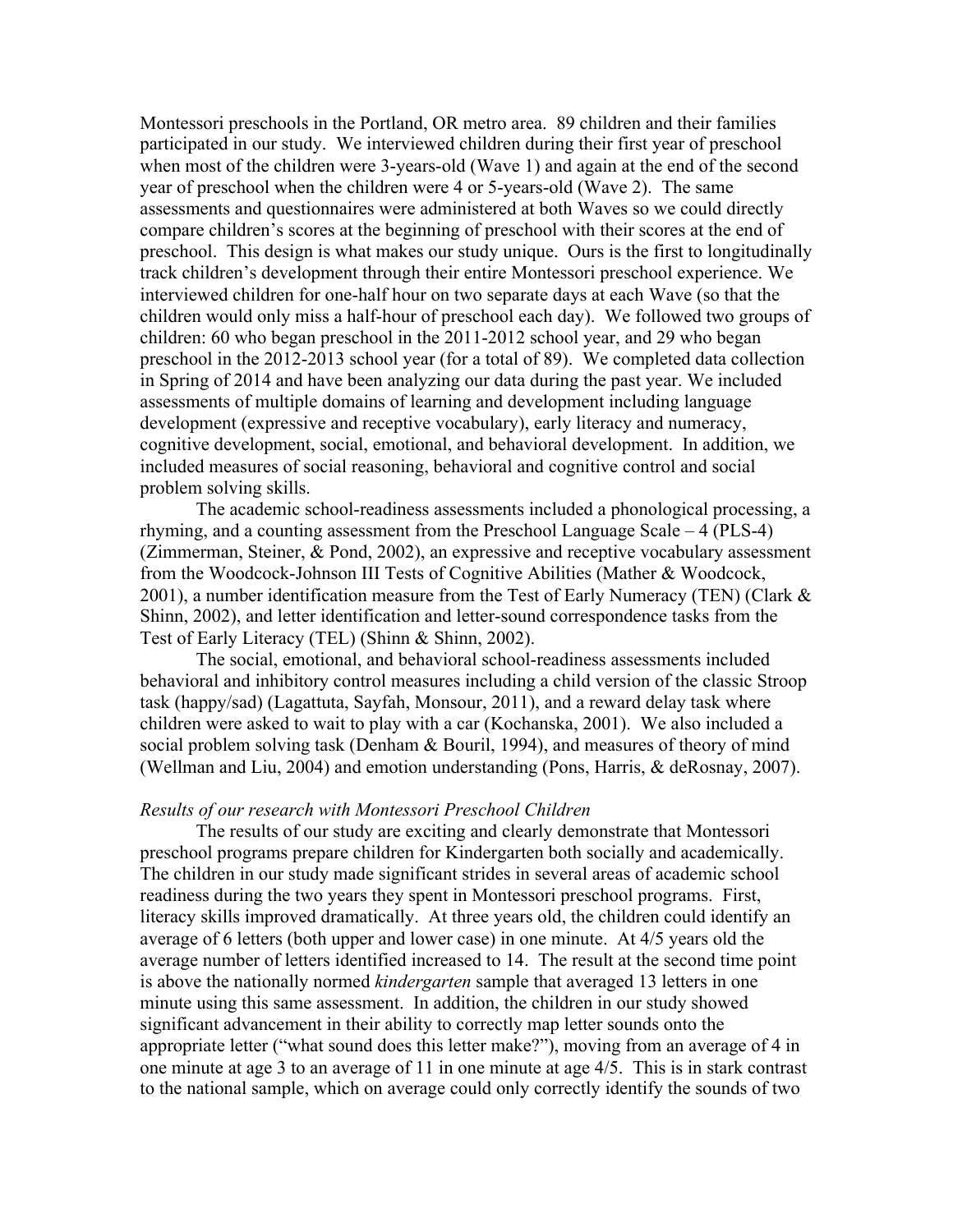Montessori preschools in the Portland, OR metro area. 89 children and their families participated in our study. We interviewed children during their first year of preschool when most of the children were 3-years-old (Wave 1) and again at the end of the second year of preschool when the children were 4 or 5-years-old (Wave 2). The same assessments and questionnaires were administered at both Waves so we could directly compare children's scores at the beginning of preschool with their scores at the end of preschool. This design is what makes our study unique. Ours is the first to longitudinally track children's development through their entire Montessori preschool experience. We interviewed children for one-half hour on two separate days at each Wave (so that the children would only miss a half-hour of preschool each day). We followed two groups of children: 60 who began preschool in the 2011-2012 school year, and 29 who began preschool in the 2012-2013 school year (for a total of 89). We completed data collection in Spring of 2014 and have been analyzing our data during the past year. We included assessments of multiple domains of learning and development including language development (expressive and receptive vocabulary), early literacy and numeracy, cognitive development, social, emotional, and behavioral development. In addition, we included measures of social reasoning, behavioral and cognitive control and social problem solving skills.

The academic school-readiness assessments included a phonological processing, a rhyming, and a counting assessment from the Preschool Language Scale – 4 (PLS-4) (Zimmerman, Steiner, & Pond, 2002), an expressive and receptive vocabulary assessment from the Woodcock-Johnson III Tests of Cognitive Abilities (Mather & Woodcock, 2001), a number identification measure from the Test of Early Numeracy (TEN) (Clark  $\&$ Shinn, 2002), and letter identification and letter-sound correspondence tasks from the Test of Early Literacy (TEL) (Shinn & Shinn, 2002).

The social, emotional, and behavioral school-readiness assessments included behavioral and inhibitory control measures including a child version of the classic Stroop task (happy/sad) (Lagattuta, Sayfah, Monsour, 2011), and a reward delay task where children were asked to wait to play with a car (Kochanska, 2001). We also included a social problem solving task (Denham & Bouril, 1994), and measures of theory of mind (Wellman and Liu, 2004) and emotion understanding (Pons, Harris, & deRosnay, 2007).

#### *Results of our research with Montessori Preschool Children*

The results of our study are exciting and clearly demonstrate that Montessori preschool programs prepare children for Kindergarten both socially and academically. The children in our study made significant strides in several areas of academic school readiness during the two years they spent in Montessori preschool programs. First, literacy skills improved dramatically. At three years old, the children could identify an average of 6 letters (both upper and lower case) in one minute. At 4/5 years old the average number of letters identified increased to 14. The result at the second time point is above the nationally normed *kindergarten* sample that averaged 13 letters in one minute using this same assessment. In addition, the children in our study showed significant advancement in their ability to correctly map letter sounds onto the appropriate letter ("what sound does this letter make?"), moving from an average of 4 in one minute at age 3 to an average of 11 in one minute at age 4/5. This is in stark contrast to the national sample, which on average could only correctly identify the sounds of two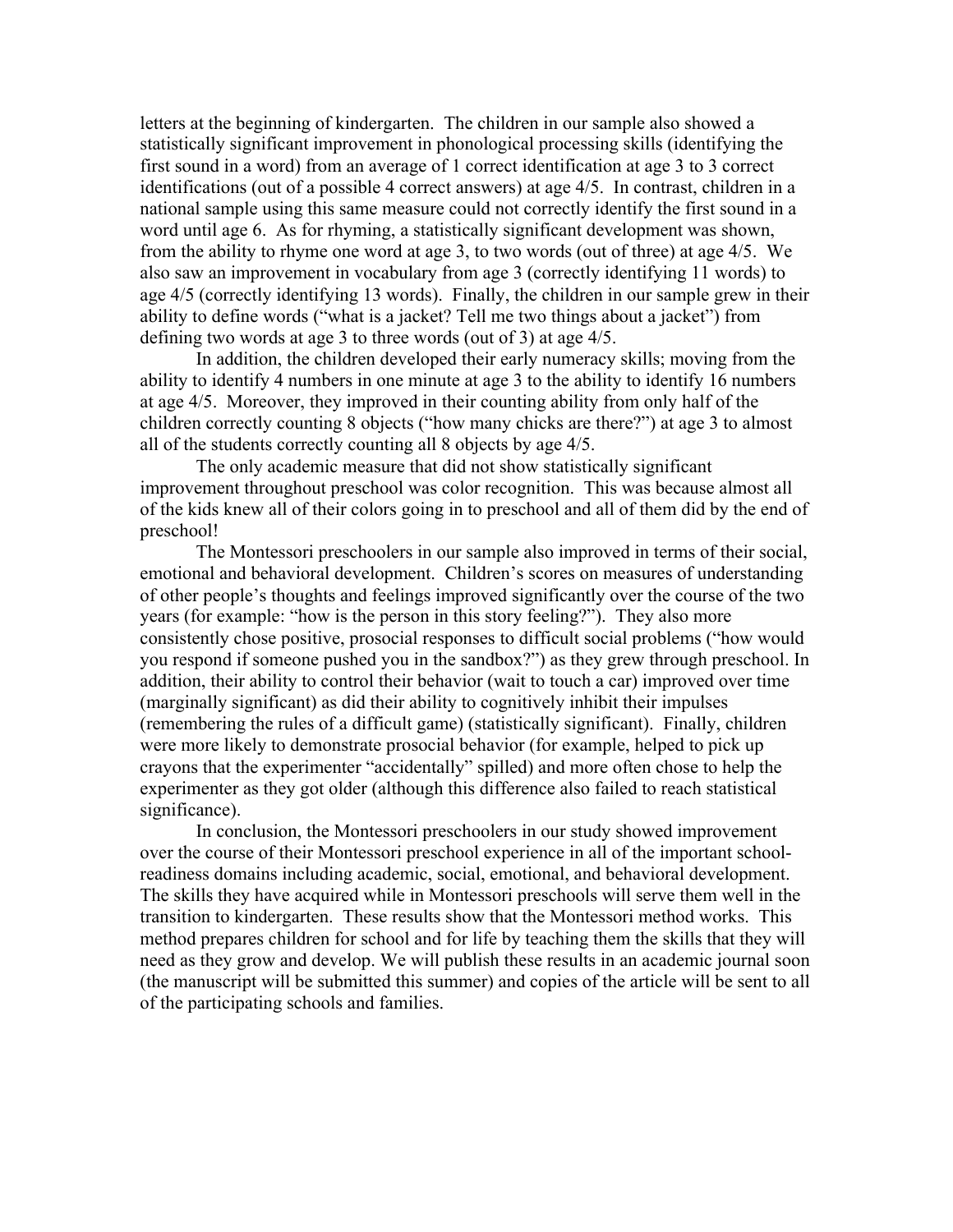letters at the beginning of kindergarten. The children in our sample also showed a statistically significant improvement in phonological processing skills (identifying the first sound in a word) from an average of 1 correct identification at age 3 to 3 correct identifications (out of a possible 4 correct answers) at age 4/5. In contrast, children in a national sample using this same measure could not correctly identify the first sound in a word until age 6. As for rhyming, a statistically significant development was shown, from the ability to rhyme one word at age 3, to two words (out of three) at age 4/5. We also saw an improvement in vocabulary from age 3 (correctly identifying 11 words) to age 4/5 (correctly identifying 13 words). Finally, the children in our sample grew in their ability to define words ("what is a jacket? Tell me two things about a jacket") from defining two words at age 3 to three words (out of 3) at age 4/5.

In addition, the children developed their early numeracy skills; moving from the ability to identify 4 numbers in one minute at age 3 to the ability to identify 16 numbers at age 4/5. Moreover, they improved in their counting ability from only half of the children correctly counting 8 objects ("how many chicks are there?") at age 3 to almost all of the students correctly counting all 8 objects by age 4/5.

The only academic measure that did not show statistically significant improvement throughout preschool was color recognition. This was because almost all of the kids knew all of their colors going in to preschool and all of them did by the end of preschool!

The Montessori preschoolers in our sample also improved in terms of their social, emotional and behavioral development. Children's scores on measures of understanding of other people's thoughts and feelings improved significantly over the course of the two years (for example: "how is the person in this story feeling?"). They also more consistently chose positive, prosocial responses to difficult social problems ("how would you respond if someone pushed you in the sandbox?") as they grew through preschool. In addition, their ability to control their behavior (wait to touch a car) improved over time (marginally significant) as did their ability to cognitively inhibit their impulses (remembering the rules of a difficult game) (statistically significant). Finally, children were more likely to demonstrate prosocial behavior (for example, helped to pick up crayons that the experimenter "accidentally" spilled) and more often chose to help the experimenter as they got older (although this difference also failed to reach statistical significance).

In conclusion, the Montessori preschoolers in our study showed improvement over the course of their Montessori preschool experience in all of the important schoolreadiness domains including academic, social, emotional, and behavioral development. The skills they have acquired while in Montessori preschools will serve them well in the transition to kindergarten. These results show that the Montessori method works. This method prepares children for school and for life by teaching them the skills that they will need as they grow and develop. We will publish these results in an academic journal soon (the manuscript will be submitted this summer) and copies of the article will be sent to all of the participating schools and families.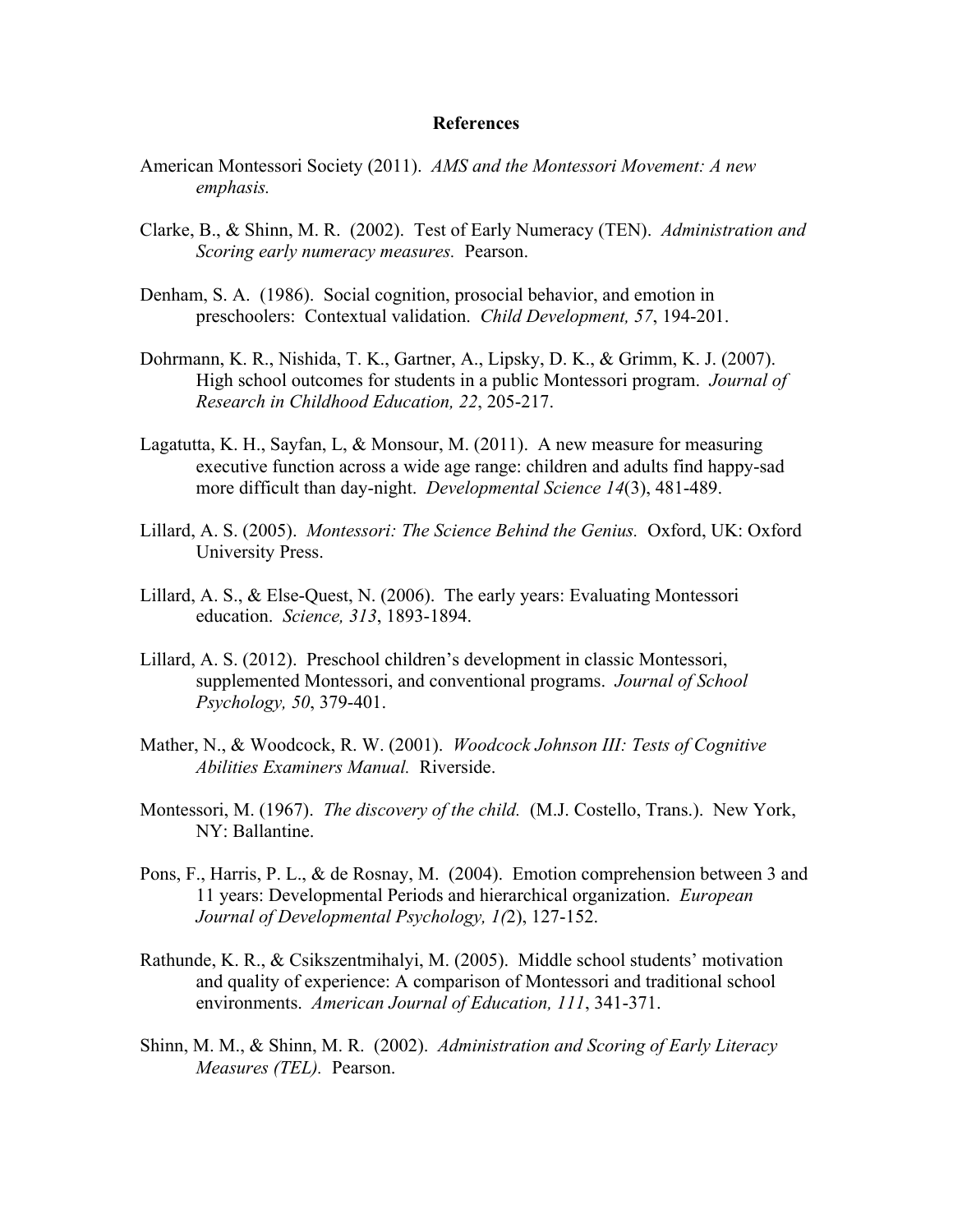## **References**

- American Montessori Society (2011). *AMS and the Montessori Movement: A new emphasis.*
- Clarke, B., & Shinn, M. R. (2002). Test of Early Numeracy (TEN). *Administration and Scoring early numeracy measures.* Pearson.
- Denham, S. A. (1986). Social cognition, prosocial behavior, and emotion in preschoolers: Contextual validation. *Child Development, 57*, 194-201.
- Dohrmann, K. R., Nishida, T. K., Gartner, A., Lipsky, D. K., & Grimm, K. J. (2007). High school outcomes for students in a public Montessori program. *Journal of Research in Childhood Education, 22*, 205-217.
- Lagatutta, K. H., Sayfan, L, & Monsour, M. (2011). A new measure for measuring executive function across a wide age range: children and adults find happy-sad more difficult than day-night. *Developmental Science 14*(3), 481-489.
- Lillard, A. S. (2005). *Montessori: The Science Behind the Genius.* Oxford, UK: Oxford University Press.
- Lillard, A. S., & Else-Quest, N. (2006). The early years: Evaluating Montessori education. *Science, 313*, 1893-1894.
- Lillard, A. S. (2012). Preschool children's development in classic Montessori, supplemented Montessori, and conventional programs. *Journal of School Psychology, 50*, 379-401.
- Mather, N., & Woodcock, R. W. (2001). *Woodcock Johnson III: Tests of Cognitive Abilities Examiners Manual.* Riverside.
- Montessori, M. (1967). *The discovery of the child.* (M.J. Costello, Trans.). New York, NY: Ballantine.
- Pons, F., Harris, P. L., & de Rosnay, M. (2004). Emotion comprehension between 3 and 11 years: Developmental Periods and hierarchical organization. *European Journal of Developmental Psychology, 1(*2), 127-152.
- Rathunde, K. R., & Csikszentmihalyi, M. (2005). Middle school students' motivation and quality of experience: A comparison of Montessori and traditional school environments. *American Journal of Education, 111*, 341-371.
- Shinn, M. M., & Shinn, M. R. (2002). *Administration and Scoring of Early Literacy Measures (TEL).* Pearson.